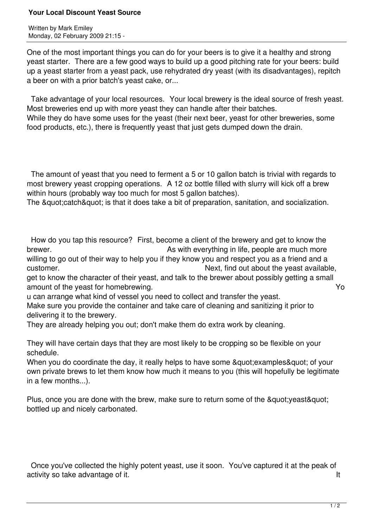## **Your Local Discount Yeast Source**

Written by Mark Emiley Monday, 02 February 2009 21:15 -

One of the most important things you can do for your beers is to give it a healthy and strong yeast starter. There are a few good ways to build up a good pitching rate for your beers: build up a yeast starter from a yeast pack, use rehydrated dry yeast (with its disadvantages), repitch a beer on with a prior batch's yeast cake, or...

 Take advantage of your local resources. Your local brewery is the ideal source of fresh yeast. Most breweries end up with more yeast they can handle after their batches. While they do have some uses for the yeast (their next beer, yeast for other breweries, some food products, etc.), there is frequently yeast that just gets dumped down the drain.

 The amount of yeast that you need to ferment a 5 or 10 gallon batch is trivial with regards to most brewery yeast cropping operations. A 12 oz bottle filled with slurry will kick off a brew within hours (probably way too much for most 5 gallon batches).

The & guot; catch & guot; is that it does take a bit of preparation, sanitation, and socialization.

 How do you tap this resource? First, become a client of the brewery and get to know the brewer. **As with everything in life, people are much more** horewer.

willing to go out of their way to help you if they know you and respect you as a friend and a customer.  $\blacksquare$ 

get to know the character of their yeast, and talk to the brewer about possibly getting a small amount of the yeast for homebrewing. The same state of the year of the year of the year of the year of the year of the year of the year of the year of the year of the year of the year of the year of the year of the year of

u can arrange what kind of vessel you need to collect and transfer the yeast.

Make sure you provide the container and take care of cleaning and sanitizing it prior to delivering it to the brewery.

They are already helping you out; don't make them do extra work by cleaning.

They will have certain days that they are most likely to be cropping so be flexible on your schedule.

When you do coordinate the day, it really helps to have some & quot: examples & quot: of your own private brews to let them know how much it means to you (this will hopefully be legitimate in a few months...).

Plus, once you are done with the brew, make sure to return some of the " yeast" bottled up and nicely carbonated.

 Once you've collected the highly potent yeast, use it soon. You've captured it at the peak of activity so take advantage of it. It is a set of the set of the set of the set of the set of the set of the set of the set of the set of the set of the set of the set of the set of the set of the set of the set of the set